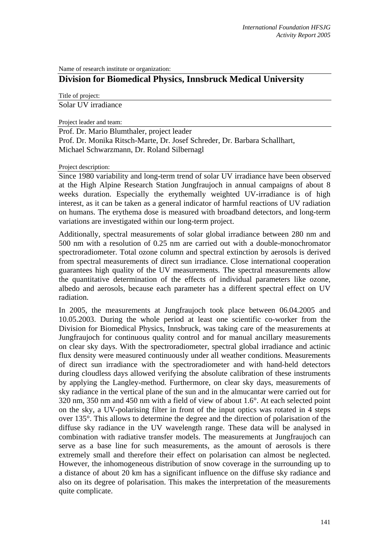Name of research institute or organization:

## **Division for Biomedical Physics, Innsbruck Medical University**

Title of project:

Solar UV irradiance

Project leader and team:

Prof. Dr. Mario Blumthaler, project leader Prof. Dr. Monika Ritsch-Marte, Dr. Josef Schreder, Dr. Barbara Schallhart, Michael Schwarzmann, Dr. Roland Silbernagl

Project description:

Since 1980 variability and long-term trend of solar UV irradiance have been observed at the High Alpine Research Station Jungfraujoch in annual campaigns of about 8 weeks duration. Especially the erythemally weighted UV-irradiance is of high interest, as it can be taken as a general indicator of harmful reactions of UV radiation on humans. The erythema dose is measured with broadband detectors, and long-term variations are investigated within our long-term project.

Additionally, spectral measurements of solar global irradiance between 280 nm and 500 nm with a resolution of 0.25 nm are carried out with a double-monochromator spectroradiometer. Total ozone column and spectral extinction by aerosols is derived from spectral measurements of direct sun irradiance. Close international cooperation guarantees high quality of the UV measurements. The spectral measurements allow the quantitative determination of the effects of individual parameters like ozone, albedo and aerosols, because each parameter has a different spectral effect on UV radiation.

In 2005, the measurements at Jungfraujoch took place between 06.04.2005 and 10.05.2003. During the whole period at least one scientific co-worker from the Division for Biomedical Physics, Innsbruck, was taking care of the measurements at Jungfraujoch for continuous quality control and for manual ancillary measurements on clear sky days. With the spectroradiometer, spectral global irradiance and actinic flux density were measured continuously under all weather conditions. Measurements of direct sun irradiance with the spectroradiometer and with hand-held detectors during cloudless days allowed verifying the absolute calibration of these instruments by applying the Langley-method. Furthermore, on clear sky days, measurements of sky radiance in the vertical plane of the sun and in the almucantar were carried out for 320 nm, 350 nm and 450 nm with a field of view of about 1.6°. At each selected point on the sky, a UV-polarising filter in front of the input optics was rotated in 4 steps over 135°. This allows to determine the degree and the direction of polarisation of the diffuse sky radiance in the UV wavelength range. These data will be analysed in combination with radiative transfer models. The measurements at Jungfraujoch can serve as a base line for such measurements, as the amount of aerosols is there extremely small and therefore their effect on polarisation can almost be neglected. However, the inhomogeneous distribution of snow coverage in the surrounding up to a distance of about 20 km has a significant influence on the diffuse sky radiance and also on its degree of polarisation. This makes the interpretation of the measurements quite complicate.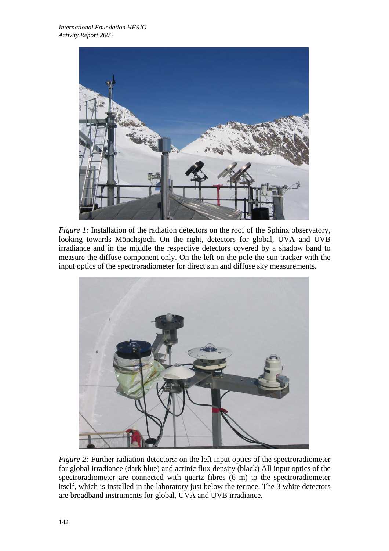

*Figure 1:* Installation of the radiation detectors on the roof of the Sphinx observatory, looking towards Mönchsjoch. On the right, detectors for global, UVA and UVB irradiance and in the middle the respective detectors covered by a shadow band to measure the diffuse component only. On the left on the pole the sun tracker with the input optics of the spectroradiometer for direct sun and diffuse sky measurements.



*Figure 2:* Further radiation detectors: on the left input optics of the spectroradiometer for global irradiance (dark blue) and actinic flux density (black) All input optics of the spectroradiometer are connected with quartz fibres (6 m) to the spectroradiometer itself, which is installed in the laboratory just below the terrace. The 3 white detectors are broadband instruments for global, UVA and UVB irradiance.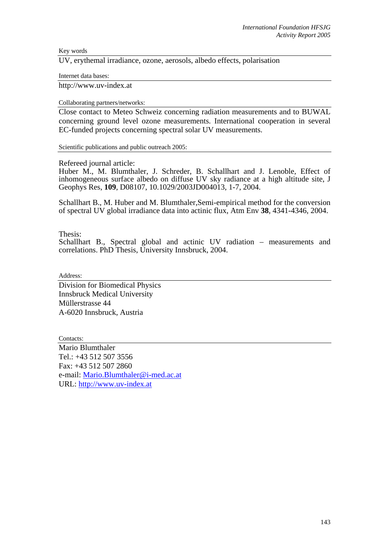Key words

UV, erythemal irradiance, ozone, aerosols, albedo effects, polarisation

Internet data bases:

http://www.uv-index.at

Collaborating partners/networks:

Close contact to Meteo Schweiz concerning radiation measurements and to BUWAL concerning ground level ozone measurements. International cooperation in several EC-funded projects concerning spectral solar UV measurements.

Scientific publications and public outreach 2005:

Refereed journal article:

Huber M., M. Blumthaler, J. Schreder, B. Schallhart and J. Lenoble*,* Effect of inhomogeneous surface albedo on diffuse UV sky radiance at a high altitude site, J Geophys Res, **109**, D08107, 10.1029/2003JD004013, 1-7, 2004.

Schallhart B., M. Huber and M. Blumthaler,Semi-empirical method for the conversion of spectral UV global irradiance data into actinic flux, Atm Env **38**, 4341-4346, 2004.

Thesis:

Schallhart B., Spectral global and actinic UV radiation – measurements and correlations. PhD Thesis, University Innsbruck, 2004.

Address:

Division for Biomedical Physics Innsbruck Medical University Müllerstrasse 44 A-6020 Innsbruck, Austria

Contacts:

Mario Blumthaler Tel.: +43 512 507 3556 Fax: +43 512 507 2860 e-mail: Mario.Blumthaler@i-med.ac.at URL: http://www.uv-index.at